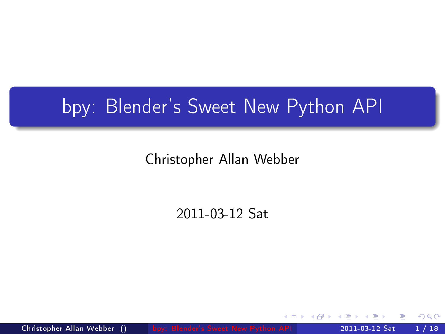## bpy: Blender's Sweet New Python API

### Christopher Allan Webber

#### 2011-03-12 Sat

<span id="page-0-0"></span> $200$ 

Christopher Allan Webber () [bpy: Blender's Sweet New Python API](#page-17-0) 2011-03-12 Sat 1 / 18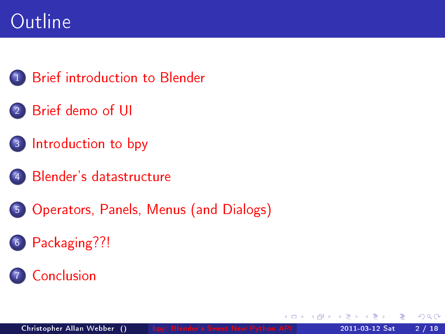# **Outline**

- **[Brief introduction to Blender](#page-2-0)**
- <sup>2</sup> [Brief demo of UI](#page-4-0)
- <sup>3</sup> [Introduction to bpy](#page-5-0)
	- [Blender's datastructure](#page-6-0)
- <sup>5</sup> [Operators, Panels, Menus \(and Dialogs\)](#page-8-0)
- <sup>6</sup> [Packaging??!](#page-13-0)

### **[Conclusion](#page-14-0)**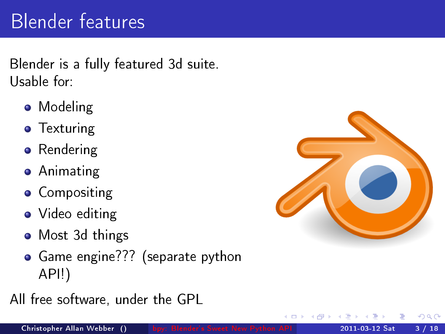# Blender features

Blender is a fully featured 3d suite. Usable for:

- Modeling
- **•** Texturing
- Rendering
- Animating
- **Compositing**
- Video editing
- Most 3d things
- **•** Game engine??? (separate python API!)
- All free software, under the GPL



<span id="page-2-0"></span>つひい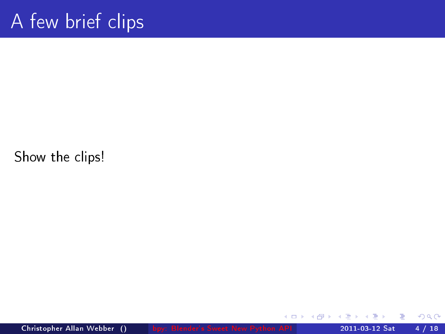Show the clips!

Christopher Allan Webber () [bpy: Blender's Sweet New Python API](#page-0-0) 2011-03-12 Sat 4 / 18

不自下

∢ 何 ▶ ×  $299$ 

э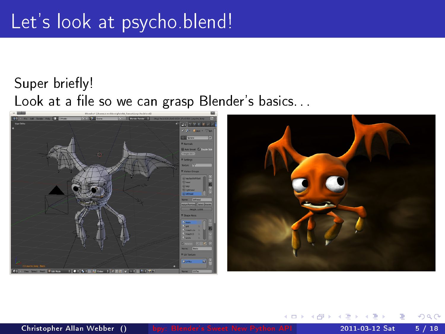### Let's look at psycho.blend!

### Super briefly! Look at a file so we can grasp Blender's basics. . .



Christopher Allan Webber () [bpy: Blender's Sweet New Python API](#page-0-0) 2011-03-12 Sat 5 / 18

<span id="page-4-0"></span>4 **D** F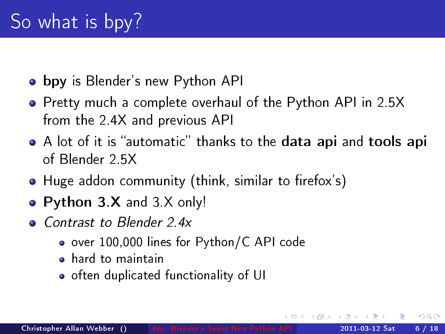- **bpy** is Blender's new Python API
- Pretty much a complete overhaul of the Python API in 2.5X from the 2.4X and previous API
- A lot of it is "automatic" thanks to the data api and tools api of Blender 2.5X
- $\bullet$  Huge addon community (think, similar to firefox's)
- Python 3.X and 3 X only!
- <span id="page-5-0"></span>• Contrast to Blender 2.4x
	- over 100,000 lines for Python/C API code
	- **•** hard to maintain
	- o often duplicated functionality of UI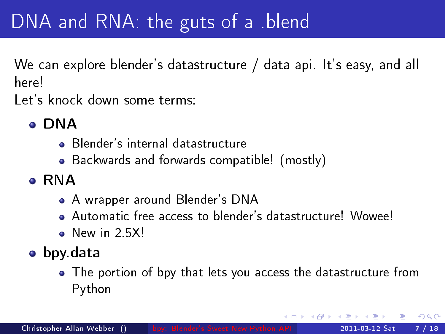## DNA and RNA: the guts of a .blend

We can explore blender's datastructure / data api. It's easy, and all here!

Let's knock down some terms:

- DNA
	- Blender's internal datastructure
	- Backwards and forwards compatible! (mostly)
- **A** RNA
	- A wrapper around Blender's DNA
	- Automatic free access to blender's datastructure! Wowee!
	- $\bullet$  New in 2.5X!
- <span id="page-6-0"></span>bpy.data
	- The portion of bpy that lets you access the datastructure from Python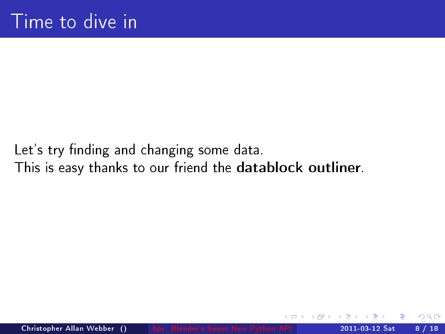### Let's try finding and changing some data. This is easy thanks to our friend the datablock outliner.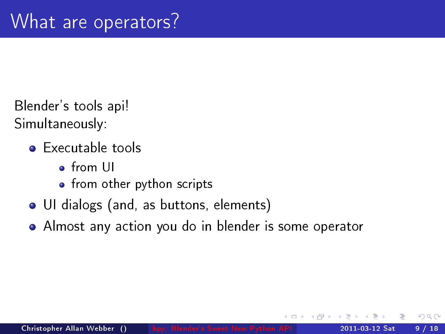Blender's tools api! Simultaneously:

- **•** Executable tools
	- from UI
	- from other python scripts
- UI dialogs (and, as buttons, elements)
- <span id="page-8-0"></span>Almost any action you do in blender is some operator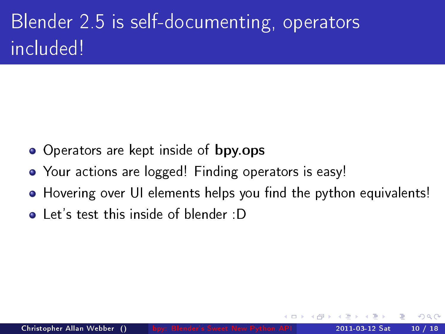# Blender 2.5 is self-documenting, operators included!

- Operators are kept inside of bpy.ops
- Your actions are logged! Finding operators is easy!
- Hovering over UI elements helps you find the python equivalents!

 $\Omega$ 

**•** Let's test this inside of blender :D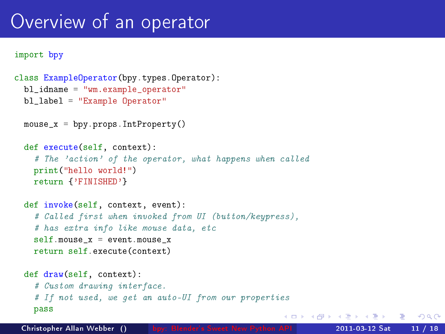### Overview of an operator

```
import bpy
```

```
class ExampleOperator(bpy.types.Operator):
bl_idname = "wm.example_operator"
bl_label = "Example Operator"
mouse x = bpy.prons.IntProperty()def execute(self, context):
  # The 'action' of the operator, what happens when called
  print("hello world!")
  return {'FINISHED'}
def invoke(self, context, event):
  # Called first when invoked from UI (button/keypress),
  # has extra info like mouse data, etc
  self.mouse x = event.mouse xreturn self.execute(context)
def draw(self, context):
  # Custom drawing interface.
  # If not used, we get an auto-UI from our properties
  pass
                                                     KORKA EXAMPLE AGA
```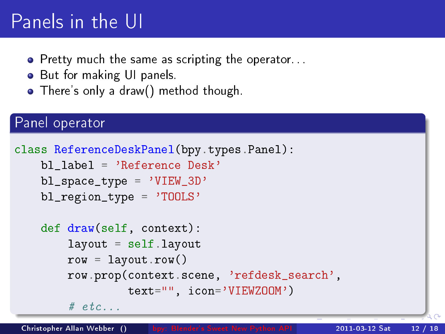# Panels in the UI

- Pretty much the same as scripting the operator...
- **•** But for making UI panels.
- There's only a draw() method though.

#### Panel operator

```
class ReferenceDeskPanel(bpy.types.Panel):
   bl label = 'Reference Desk'
   b1_space_type = 'VIEW_3D'
   bl_region_type = 'TOOLS'
   def draw(self, context):
       layout = self.layout
       row = \text{layout}.\text{row}()row.prop(context.scene, 'refdesk_search',
                 text="", icon='VIEWZOOM')
       # etc.
```
Christopher Allan Webber () [bpy: Blender's Sweet New Python API](#page-0-0) 2011-03-12 Sat 12 / 18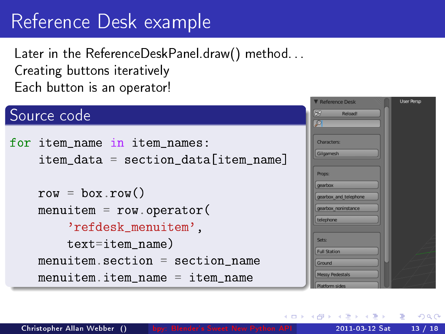# Reference Desk example

Later in the ReferenceDeskPanel.draw() method... Creating buttons iteratively Each button is an operator!

#### Source code

```
for item_name in item_names:
   item data = section data[item name]row = boxrow(){} menuitem = row.operator(
       'refdesk_menuitem',
       text=item_name)
   menuitem. section = section name
   menuitem.item name = item name
```


K ロ ▶ | K 何 ▶ | K ヨ ▶ | K ヨ ▶ | K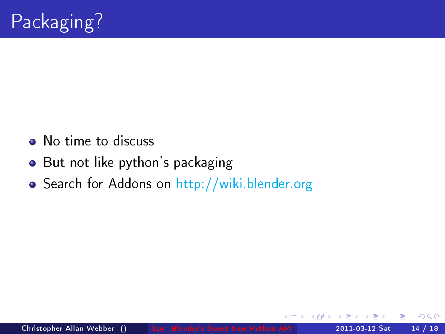- No time to discuss
- But not like python's packaging
- <span id="page-13-0"></span>**• Search for Addons on <http://wiki.blender.org>**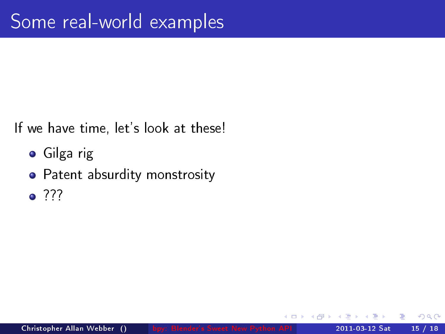If we have time, let's look at these!

- Gilga rig
- Patent absurdity monstrosity
- <span id="page-14-0"></span> $\bullet$  ???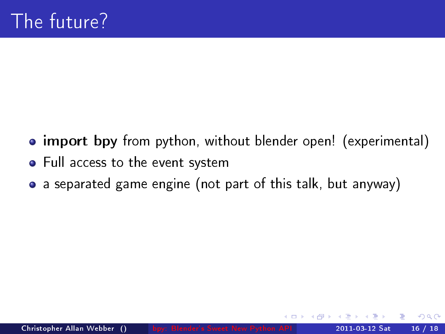- import bpy from python, without blender open! (experimental)
- Full access to the event system
- a separated game engine (not part of this talk, but anyway)  $\bullet$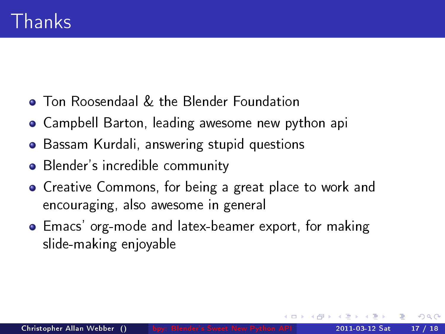- **Ton Roosendaal & the Blender Foundation**
- Campbell Barton, leading awesome new python api
- Bassam Kurdali, answering stupid questions
- Blender's incredible community
- Creative Commons, for being a great place to work and encouraging, also awesome in general
- Emacs' org-mode and latex-beamer export, for making slide-making enjoyable